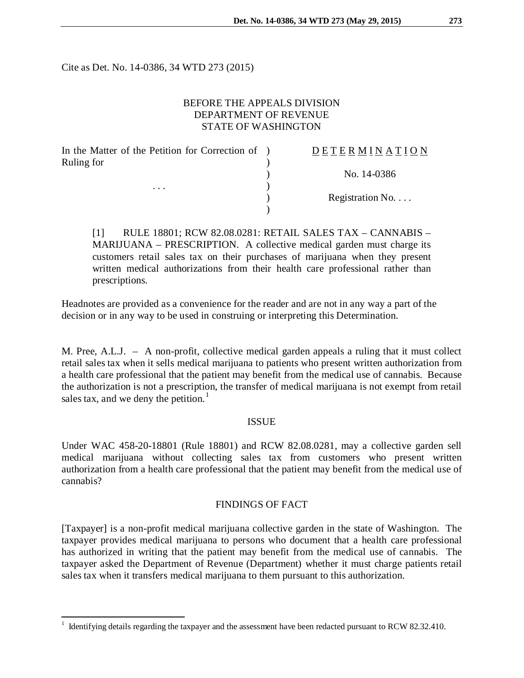Cite as Det. No. 14-0386, 34 WTD 273 (2015)

# BEFORE THE APPEALS DIVISION DEPARTMENT OF REVENUE STATE OF WASHINGTON

| In the Matter of the Petition for Correction of ) | DETERMINATION            |
|---------------------------------------------------|--------------------------|
| Ruling for                                        | No. 14-0386              |
| $\cdots$                                          | Registration No. $\dots$ |

[1] RULE 18801; RCW 82.08.0281: RETAIL SALES TAX – CANNABIS – MARIJUANA – PRESCRIPTION. A collective medical garden must charge its customers retail sales tax on their purchases of marijuana when they present written medical authorizations from their health care professional rather than prescriptions.

Headnotes are provided as a convenience for the reader and are not in any way a part of the decision or in any way to be used in construing or interpreting this Determination.

M. Pree, A.L.J. – A non-profit, collective medical garden appeals a ruling that it must collect retail sales tax when it sells medical marijuana to patients who present written authorization from a health care professional that the patient may benefit from the medical use of cannabis. Because the authorization is not a prescription, the transfer of medical marijuana is not exempt from retail sales tax, and we deny the petition. $<sup>1</sup>$  $<sup>1</sup>$  $<sup>1</sup>$ </sup>

### ISSUE

Under WAC 458-20-18801 (Rule 18801) and RCW 82.08.0281, may a collective garden sell medical marijuana without collecting sales tax from customers who present written authorization from a health care professional that the patient may benefit from the medical use of cannabis?

### FINDINGS OF FACT

[Taxpayer] is a non-profit medical marijuana collective garden in the state of Washington. The taxpayer provides medical marijuana to persons who document that a health care professional has authorized in writing that the patient may benefit from the medical use of cannabis. The taxpayer asked the Department of Revenue (Department) whether it must charge patients retail sales tax when it transfers medical marijuana to them pursuant to this authorization.

<span id="page-0-0"></span> <sup>1</sup> Identifying details regarding the taxpayer and the assessment have been redacted pursuant to RCW 82.32.410.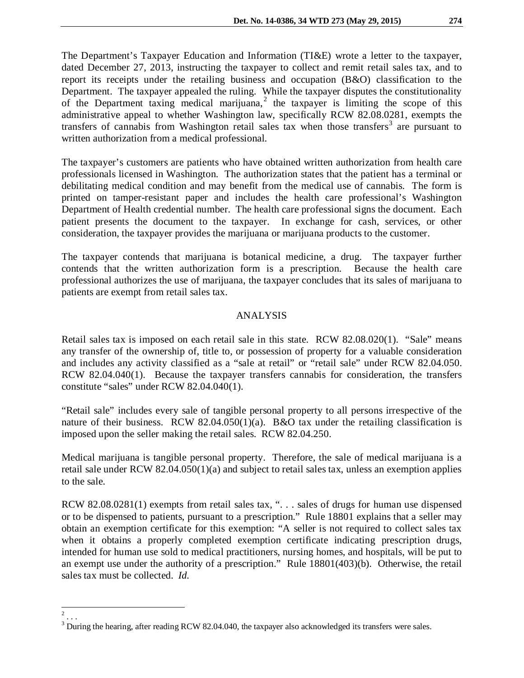The Department's Taxpayer Education and Information (TI&E) wrote a letter to the taxpayer, dated December 27, 2013, instructing the taxpayer to collect and remit retail sales tax, and to report its receipts under the retailing business and occupation (B&O) classification to the Department. The taxpayer appealed the ruling. While the taxpayer disputes the constitutionality of the Department taxing medical marijuana,<sup>[2](#page-1-0)</sup> the taxpayer is limiting the scope of this administrative appeal to whether Washington law, specifically RCW 82.08.0281, exempts the transfers of cannabis from Washington retail sales tax when those transfers<sup>[3](#page-1-1)</sup> are pursuant to written authorization from a medical professional.

The taxpayer's customers are patients who have obtained written authorization from health care professionals licensed in Washington. The authorization states that the patient has a terminal or debilitating medical condition and may benefit from the medical use of cannabis. The form is printed on tamper-resistant paper and includes the health care professional's Washington Department of Health credential number. The health care professional signs the document. Each patient presents the document to the taxpayer. In exchange for cash, services, or other consideration, the taxpayer provides the marijuana or marijuana products to the customer.

The taxpayer contends that marijuana is botanical medicine, a drug. The taxpayer further contends that the written authorization form is a prescription. Because the health care professional authorizes the use of marijuana, the taxpayer concludes that its sales of marijuana to patients are exempt from retail sales tax.

# ANALYSIS

Retail sales tax is imposed on each retail sale in this state. RCW 82.08.020(1). "Sale" means any transfer of the ownership of, title to, or possession of property for a valuable consideration and includes any activity classified as a "sale at retail" or "retail sale" under RCW 82.04.050. RCW 82.04.040(1). Because the taxpayer transfers cannabis for consideration, the transfers constitute "sales" under RCW 82.04.040(1).

"Retail sale" includes every sale of tangible personal property to all persons irrespective of the nature of their business. RCW 82.04.050(1)(a). B&O tax under the retailing classification is imposed upon the seller making the retail sales. RCW 82.04.250.

Medical marijuana is tangible personal property. Therefore, the sale of medical marijuana is a retail sale under RCW 82.04.050(1)(a) and subject to retail sales tax, unless an exemption applies to the sale.

RCW 82.08.0281(1) exempts from retail sales tax, ". . . sales of drugs for human use dispensed or to be dispensed to patients, pursuant to a prescription." Rule 18801 explains that a seller may obtain an exemption certificate for this exemption: "A seller is not required to collect sales tax when it obtains a properly completed exemption certificate indicating prescription drugs, intended for human use sold to medical practitioners, nursing homes, and hospitals, will be put to an exempt use under the authority of a prescription." Rule 18801(403)(b). Otherwise, the retail sales tax must be collected. *Id.*

 $\frac{2}{2}$ ...

<span id="page-1-1"></span><span id="page-1-0"></span><sup>&</sup>lt;sup>3</sup> During the hearing, after reading RCW 82.04.040, the taxpayer also acknowledged its transfers were sales.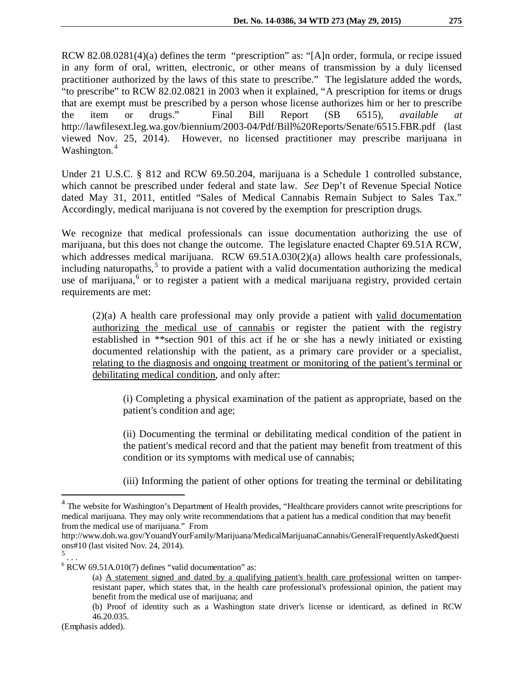RCW 82.08.0281(4)(a) defines the term "prescription" as: "[A]n order, formula, or recipe issued in any form of oral, written, electronic, or other means of transmission by a duly licensed practitioner authorized by the laws of this state to prescribe." The legislature added the words, "to prescribe" to RCW 82.02.0821 in 2003 when it explained, "A prescription for items or drugs that are exempt must be prescribed by a person whose license authorizes him or her to prescribe the item or drugs." Final Bill Report (SB 6515), *available at*  http://lawfilesext.leg.wa.gov/biennium/2003-04/Pdf/Bill%20Reports/Senate/6515.FBR.pdf (last viewed Nov. 25, 2014). However, no licensed practitioner may prescribe marijuana in Washington.<sup>[4](#page-2-0)</sup>

Under 21 U.S.C. § 812 and RCW 69.50.204, marijuana is a Schedule 1 controlled substance, which cannot be prescribed under federal and state law. *See* Dep't of Revenue Special Notice dated May 31, 2011, entitled "Sales of Medical Cannabis Remain Subject to Sales Tax." Accordingly, medical marijuana is not covered by the exemption for prescription drugs.

We recognize that medical professionals can issue documentation authorizing the use of marijuana, but this does not change the outcome. The legislature enacted Chapter 69.51A RCW, which addresses medical marijuana. RCW 69.51A.030(2)(a) allows health care professionals, including naturopaths,<sup>[5](#page-2-1)</sup> to provide a patient with a valid documentation authorizing the medical use of marijuana,<sup>[6](#page-2-2)</sup> or to register a patient with a medical marijuana registry, provided certain requirements are met:

(2)(a) A health care professional may only provide a patient with valid documentation authorizing the medical use of cannabis or register the patient with the registry established in \*\*section 901 of this act if he or she has a newly initiated or existing documented relationship with the patient, as a primary care provider or a specialist, relating to the diagnosis and ongoing treatment or monitoring of the patient's terminal or debilitating medical condition, and only after:

(i) Completing a physical examination of the patient as appropriate, based on the patient's condition and age;

(ii) Documenting the terminal or debilitating medical condition of the patient in the patient's medical record and that the patient may benefit from treatment of this condition or its symptoms with medical use of cannabis;

(iii) Informing the patient of other options for treating the terminal or debilitating

<span id="page-2-0"></span> $<sup>4</sup>$  The website for Washington's Department of Health provides, "Healthcare providers cannot write prescriptions for</sup> medical marijuana. They may only write recommendations that a patient has a medical condition that may benefit from the medical use of marijuana." From

http://www.doh.wa.gov/YouandYourFamily/Marijuana/MedicalMarijuanaCannabis/GeneralFrequentlyAskedQuesti ons#10 (last visited Nov. 24, 2014).

<span id="page-2-1"></span><sup>5</sup> . . .

<span id="page-2-2"></span> $6$  RCW 69.51A.010(7) defines "valid documentation" as:

<sup>(</sup>a) A statement signed and dated by a qualifying patient's health care professional written on tamperresistant paper, which states that, in the health care professional's professional opinion, the patient may benefit from the medical use of marijuana; and

<sup>(</sup>b) Proof of identity such as a Washington state driver's license or identicard, as defined in RCW 46.20.035.

<sup>(</sup>Emphasis added).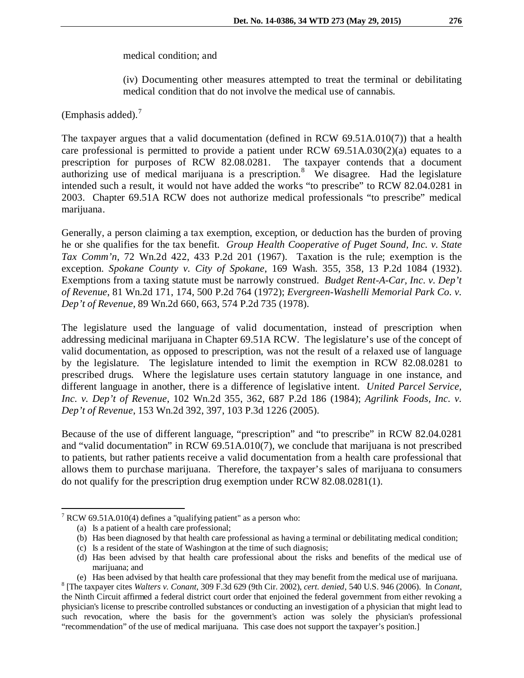### medical condition; and

(iv) Documenting other measures attempted to treat the terminal or debilitating medical condition that do not involve the medical use of cannabis.

(Emphasis added). $<sup>7</sup>$  $<sup>7</sup>$  $<sup>7</sup>$ </sup>

The taxpayer argues that a valid documentation (defined in RCW 69.51A.010(7)) that a health care professional is permitted to provide a patient under RCW  $69.51A.030(2)(a)$  equates to a prescription for purposes of RCW  $82.08.0281$ . The taxpayer contends that a document prescription for purposes of RCW 82.08.0281. authorizing use of medical marijuana is a prescription.<sup>[8](#page-3-1)</sup> We disagree. Had the legislature intended such a result, it would not have added the works "to prescribe" to RCW 82.04.0281 in 2003. Chapter 69.51A RCW does not authorize medical professionals "to prescribe" medical marijuana.

Generally, a person claiming a tax exemption, exception, or deduction has the burden of proving he or she qualifies for the tax benefit. *Group Health Cooperative of Puget Sound, Inc. v. State Tax Comm'n*, 72 Wn.2d 422, 433 P.2d 201 (1967). Taxation is the rule; exemption is the exception. *Spokane County v. City of Spokane*, 169 Wash. 355, 358, 13 P.2d 1084 (1932). Exemptions from a taxing statute must be narrowly construed. *Budget Rent-A-Car, Inc. v. Dep't of Revenue*, 81 Wn.2d 171, 174, 500 P.2d 764 (1972); *Evergreen-Washelli Memorial Park Co. v. Dep't of Revenue*, 89 Wn.2d 660, 663, 574 P.2d 735 (1978).

The legislature used the language of valid documentation, instead of prescription when addressing medicinal marijuana in Chapter 69.51A RCW. The legislature's use of the concept of valid documentation, as opposed to prescription, was not the result of a relaxed use of language by the legislature. The legislature intended to limit the exemption in RCW 82.08.0281 to prescribed drugs. Where the legislature uses certain statutory language in one instance, and different language in another, there is a difference of legislative intent. *United Parcel Service, Inc. v. Dep't of Revenue*, 102 Wn.2d 355, 362, 687 P.2d 186 (1984); *Agrilink Foods, Inc. v. Dep't of Revenue*, 153 Wn.2d 392, 397, 103 P.3d 1226 (2005).

Because of the use of different language, "prescription" and "to prescribe" in RCW 82.04.0281 and "valid documentation" in RCW 69.51A.010(7), we conclude that marijuana is not prescribed to patients, but rather patients receive a valid documentation from a health care professional that allows them to purchase marijuana. Therefore, the taxpayer's sales of marijuana to consumers do not qualify for the prescription drug exemption under RCW 82.08.0281(1).

<span id="page-3-0"></span> $7$  RCW 69.51A.010(4) defines a "qualifying patient" as a person who:

<sup>(</sup>a) Is a patient of a health care professional;

<sup>(</sup>b) Has been diagnosed by that health care professional as having a terminal or debilitating medical condition;

<sup>(</sup>c) Is a resident of the state of Washington at the time of such diagnosis;

<sup>(</sup>d) Has been advised by that health care professional about the risks and benefits of the medical use of marijuana; and<br>(e) Has been advised by that health care professional that they may benefit from the medical use of marijuana.

<span id="page-3-1"></span><sup>&</sup>lt;sup>8</sup> [The taxpayer cites Walters v. Conant, 309 F.3d 629 (9th Cir. 2002), cert. denied, 540 U.S. 946 (2006). In Conant, the Ninth Circuit affirmed a federal district court order that enjoined the federal government from either revoking a physician's license to prescribe controlled substances or conducting an investigation of a physician that might lead to such revocation, where the basis for the government's action was solely the physician's professional "recommendation" of the use of medical marijuana. This case does not support the taxpayer's position.]